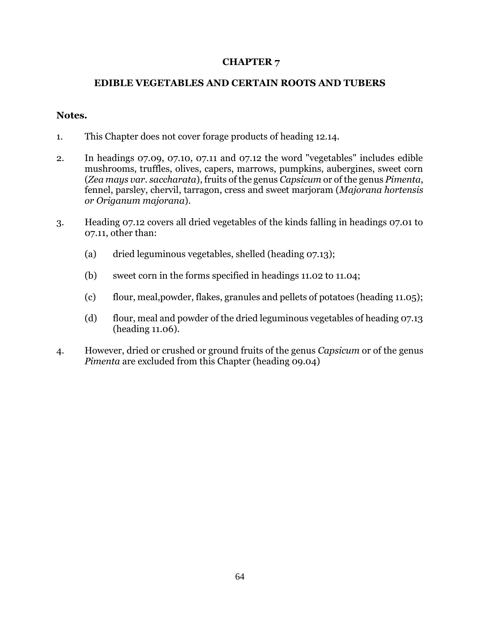## **CHAPTER 7**

## **EDIBLE VEGETABLES AND CERTAIN ROOTS AND TUBERS**

## **Notes.**

- 1. This Chapter does not cover forage products of heading 12.14.
- 2. In headings 07.09, 07.10, 07.11 and 07.12 the word "vegetables" includes edible mushrooms, truffles, olives, capers, marrows, pumpkins, aubergines, sweet corn (*Zea mays var. saccharata*), fruits of the genus *Capsicum* or of the genus *Pimenta*, fennel, parsley, chervil, tarragon, cress and sweet marjoram (*Majorana hortensis or Origanum majorana*).
- 3. Heading 07.12 covers all dried vegetables of the kinds falling in headings 07.01 to 07.11, other than:
	- (a) dried leguminous vegetables, shelled (heading 07.13);
	- (b) sweet corn in the forms specified in headings 11.02 to 11.04;
	- (c) flour, meal,powder, flakes, granules and pellets of potatoes (heading 11.05);
	- (d) flour, meal and powder of the dried leguminous vegetables of heading 07.13 (heading 11.06).
- 4. However, dried or crushed or ground fruits of the genus *Capsicum* or of the genus *Pimenta* are excluded from this Chapter (heading 09.04)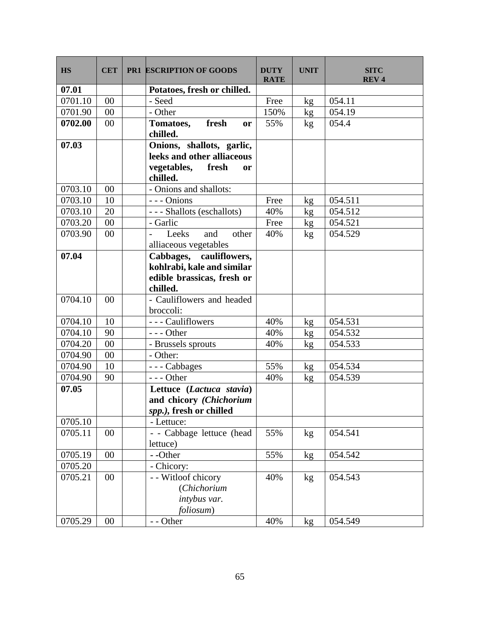| <b>HS</b> | <b>CET</b> | <b>PR1 ESCRIPTION OF GOODS</b>                                                                  | <b>DUTY</b><br><b>RATE</b> | <b>UNIT</b>     | <b>SITC</b><br><b>REV4</b> |
|-----------|------------|-------------------------------------------------------------------------------------------------|----------------------------|-----------------|----------------------------|
| 07.01     |            | Potatoes, fresh or chilled.                                                                     |                            |                 |                            |
| 0701.10   | 00         | - Seed                                                                                          | Free                       | kg              | 054.11                     |
| 0701.90   | 00         | - Other                                                                                         | 150%                       | kg              | 054.19                     |
| 0702.00   | 00         | fresh<br>Tomatoes,<br>or<br>chilled.                                                            | 55%                        | kg              | 054.4                      |
| 07.03     |            | Onions, shallots, garlic,<br>leeks and other alliaceous<br>vegetables, fresh<br>or<br>chilled.  |                            |                 |                            |
| 0703.10   | 00         | - Onions and shallots:                                                                          |                            |                 |                            |
| 0703.10   | 10         | --- Onions                                                                                      | Free                       | kg              | 054.511                    |
| 0703.10   | 20         | - - - Shallots (eschallots)                                                                     | 40%                        | kg              | 054.512                    |
| 0703.20   | 00         | - Garlic                                                                                        | Free                       | $\mathbf{kg}$   | 054.521                    |
| 0703.90   | 00         | Leeks<br>and<br>other<br>$\frac{1}{2}$<br>alliaceous vegetables                                 | 40%                        | kg              | 054.529                    |
| 07.04     |            | Cabbages, cauliflowers,<br>kohlrabi, kale and similar<br>edible brassicas, fresh or<br>chilled. |                            |                 |                            |
| 0704.10   | 00         | - Cauliflowers and headed<br>broccoli:                                                          |                            |                 |                            |
| 0704.10   | 10         | - - - Cauliflowers                                                                              | 40%                        | kg              | 054.531                    |
| 0704.10   | 90         | $--$ Other                                                                                      | 40%                        | kg              | 054.532                    |
| 0704.20   | 00         | - Brussels sprouts                                                                              | 40%                        | kg              | 054.533                    |
| 0704.90   | 00         | - Other:                                                                                        |                            |                 |                            |
| 0704.90   | 10         | --- Cabbages                                                                                    | 55%                        | kg              | 054.534                    |
| 0704.90   | 90         | $--$ Other                                                                                      | 40%                        | kg              | 054.539                    |
| 07.05     |            | Lettuce (Lactuca stavia)<br>and chicory (Chichorium<br>spp.), fresh or chilled                  |                            |                 |                            |
| 0705.10   |            | - Lettuce:                                                                                      |                            |                 |                            |
| 0705.11   | 00         | - - Cabbage lettuce (head<br>lettuce)                                                           | 55%                        | kg              | 054.541                    |
| 0705.19   | 00         | - -Other                                                                                        | 55%                        | kg              | 054.542                    |
| 0705.20   |            | - Chicory:                                                                                      |                            |                 |                            |
| 0705.21   | 00         | - - Witloof chicory<br>(Chichorium<br>intybus var.<br>foliosum)                                 | 40%                        | kg              | 054.543                    |
| 0705.29   | $00\,$     | - - Other                                                                                       | 40%                        | kg <sub>2</sub> | 054.549                    |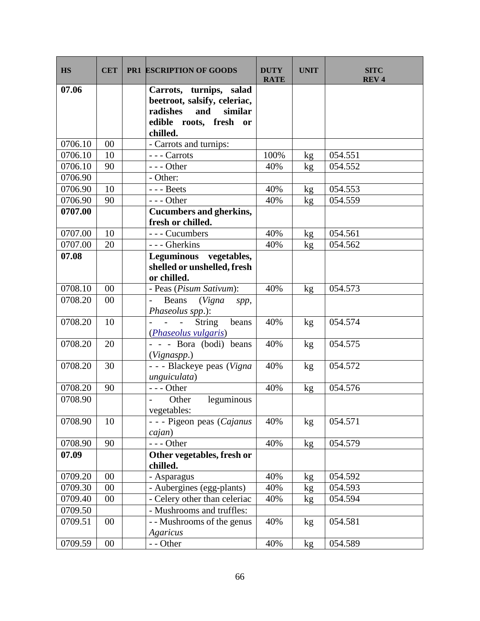| <b>HS</b> | <b>CET</b> | <b>PR1 ESCRIPTION OF GOODS</b>                                                                                              | <b>DUTY</b><br><b>RATE</b> | <b>UNIT</b> | <b>SITC</b><br><b>REV4</b> |
|-----------|------------|-----------------------------------------------------------------------------------------------------------------------------|----------------------------|-------------|----------------------------|
| 07.06     |            | Carrots, turnips, salad<br>beetroot, salsify, celeriac,<br>radishes<br>and<br>similar<br>edible roots, fresh or<br>chilled. |                            |             |                            |
| 0706.10   | 00         | - Carrots and turnips:                                                                                                      |                            |             |                            |
| 0706.10   | 10         | --- Carrots                                                                                                                 | 100%                       | kg          | 054.551                    |
| 0706.10   | 90         | $--$ Other                                                                                                                  | 40%                        | kg          | 054.552                    |
| 0706.90   |            | - Other:                                                                                                                    |                            |             |                            |
| 0706.90   | 10         | $--$ Beets                                                                                                                  | 40%                        | kg          | 054.553                    |
| 0706.90   | 90         | $--$ Other                                                                                                                  | 40%                        | kg          | 054.559                    |
| 0707.00   |            | <b>Cucumbers and gherkins,</b><br>fresh or chilled.                                                                         |                            |             |                            |
| 0707.00   | 10         | --- Cucumbers                                                                                                               | 40%                        | kg          | 054.561                    |
| 0707.00   | 20         | - - - Gherkins                                                                                                              | 40%                        | kg          | 054.562                    |
| 07.08     |            | Leguminous vegetables,<br>shelled or unshelled, fresh<br>or chilled.                                                        |                            |             |                            |
| 0708.10   | 00         | - Peas (Pisum Sativum):                                                                                                     | 40%                        | kg          | 054.573                    |
| 0708.20   | 00         | (Vigna<br>Beans<br>spp,<br>Phaseolus spp.):                                                                                 |                            |             |                            |
| 0708.20   | 10         | <b>String</b><br>beans<br>$\mathbf{r}$<br>$\overline{a}$<br>(Phaseolus vulgaris)                                            | 40%                        | kg          | 054.574                    |
| 0708.20   | 20         | - - - Bora (bodi) beans<br>(Vignaspp.)                                                                                      | 40%                        | kg          | 054.575                    |
| 0708.20   | 30         | - - - Blackeye peas (Vigna<br>unguiculata)                                                                                  | 40%                        | kg          | 054.572                    |
| 0708.20   | 90         | $--$ Other                                                                                                                  | 40%                        | kg          | 054.576                    |
| 0708.90   |            | Other<br>leguminous<br>vegetables:                                                                                          |                            |             |                            |
| 0708.90   | 10         | - - - Pigeon peas (Cajanus<br>cajan)                                                                                        | 40%                        | kg          | 054.571                    |
| 0708.90   | 90         | --- Other                                                                                                                   | 40%                        | kg          | 054.579                    |
| 07.09     |            | Other vegetables, fresh or<br>chilled.                                                                                      |                            |             |                            |
| 0709.20   | 00         | - Asparagus                                                                                                                 | 40%                        | kg          | 054.592                    |
| 0709.30   | 00         | - Aubergines (egg-plants)                                                                                                   | 40%                        | kg          | 054.593                    |
| 0709.40   | 00         | - Celery other than celeriac                                                                                                | 40%                        | kg          | 054.594                    |
| 0709.50   |            | - Mushrooms and truffles:                                                                                                   |                            |             |                            |
| 0709.51   | 00         | - - Mushrooms of the genus<br>Agaricus                                                                                      | 40%                        | kg          | 054.581                    |
| 0709.59   | 00         | - - Other                                                                                                                   | 40%                        | kg          | 054.589                    |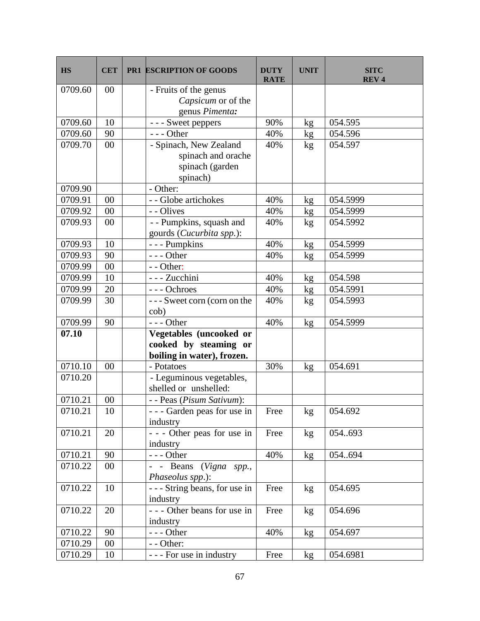| <b>HS</b> | <b>CET</b> | <b>PR1 ESCRIPTION OF GOODS</b>                      | <b>DUTY</b><br><b>RATE</b> | <b>UNIT</b>     | <b>SITC</b><br><b>REV4</b> |
|-----------|------------|-----------------------------------------------------|----------------------------|-----------------|----------------------------|
| 0709.60   | 00         | - Fruits of the genus                               |                            |                 |                            |
|           |            | Capsicum or of the                                  |                            |                 |                            |
|           |            | genus Pimenta:                                      |                            |                 |                            |
| 0709.60   | 10         | - - - Sweet peppers                                 | 90%                        | kg              | 054.595                    |
| 0709.60   | 90         | $--$ Other                                          | 40%                        | kg              | 054.596                    |
| 0709.70   | 00         | - Spinach, New Zealand                              | 40%                        | kg              | 054.597                    |
|           |            | spinach and orache                                  |                            |                 |                            |
|           |            | spinach (garden                                     |                            |                 |                            |
|           |            | spinach)                                            |                            |                 |                            |
| 0709.90   |            | - Other:                                            |                            |                 |                            |
| 0709.91   | 00         | - - Globe artichokes                                | 40%                        | kg              | 054.5999                   |
| 0709.92   | $00\,$     | - - Olives                                          | 40%                        | kg              | 054.5999                   |
| 0709.93   | 00         | - - Pumpkins, squash and                            | 40%                        | kg              | 054.5992                   |
| 0709.93   | 10         | gourds (Cucurbita spp.):<br>- - - Pumpkins          | 40%                        |                 | 054.5999                   |
| 0709.93   | 90         | $--$ Other                                          | 40%                        | kg<br>kg        | 054.5999                   |
| 0709.99   | 00         | - - Other:                                          |                            |                 |                            |
| 0709.99   | 10         | - - - Zucchini                                      | 40%                        | kg              | 054.598                    |
| 0709.99   | 20         | --- Ochroes                                         | 40%                        | kg              | 054.5991                   |
| 0709.99   | 30         | --- Sweet corn (corn on the                         | 40%                        | kg              | 054.5993                   |
|           |            | cob)                                                |                            |                 |                            |
| 0709.99   | 90         | $--$ Other                                          | 40%                        | kg              | 054.5999                   |
| 07.10     |            | Vegetables (uncooked or                             |                            |                 |                            |
|           |            | cooked by steaming or<br>boiling in water), frozen. |                            |                 |                            |
| 0710.10   | 00         | - Potatoes                                          | 30%                        | kg              | 054.691                    |
| 0710.20   |            | - Leguminous vegetables,                            |                            |                 |                            |
|           |            | shelled or unshelled:                               |                            |                 |                            |
| 0710.21   | 00         | - - Peas (Pisum Sativum):                           |                            |                 |                            |
| 0710.21   | 10         | --- Garden peas for use in                          | Free                       | kg              | 054.692                    |
|           |            | industry                                            |                            |                 |                            |
| 0710.21   | 20         | - - - Other peas for use in                         | Free                       | kg              | 054693                     |
|           |            | industry                                            |                            |                 |                            |
| 0710.21   | 90         | $--$ Other                                          | 40%                        | kg              | 054694                     |
| 0710.22   | $00\,$     | - - Beans (Vigna spp.,                              |                            |                 |                            |
|           |            | Phaseolus spp.):                                    |                            |                 |                            |
| 0710.22   | 10         | --- String beans, for use in<br>industry            | Free                       | kg              | 054.695                    |
| 0710.22   | 20         | - - - Other beans for use in                        | Free                       |                 | 054.696                    |
|           |            | industry                                            |                            | kg              |                            |
| 0710.22   | 90         | $--$ Other                                          | 40%                        | kg <sub>2</sub> | 054.697                    |
| 0710.29   | 00         | - - Other:                                          |                            |                 |                            |
| 0710.29   | 10         | - - - For use in industry                           | Free                       | kg              | 054.6981                   |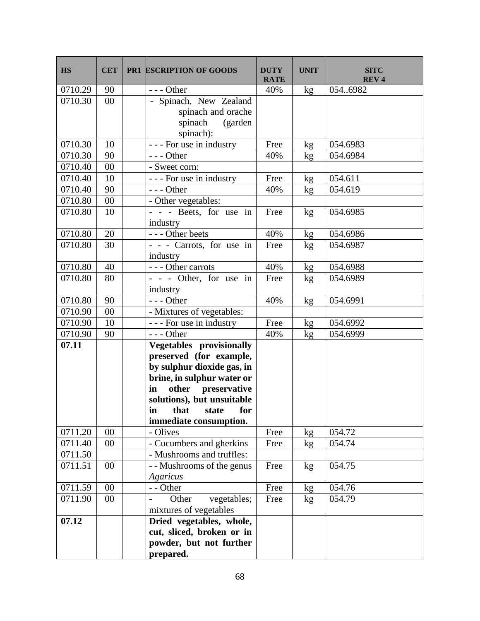| <b>HS</b> | <b>CET</b> | <b>PR1 ESCRIPTION OF GOODS</b>         | <b>DUTY</b><br><b>RATE</b> | <b>UNIT</b> | <b>SITC</b><br><b>REV4</b> |
|-----------|------------|----------------------------------------|----------------------------|-------------|----------------------------|
| 0710.29   | 90         | $--$ Other                             | 40%                        | kg          | 0546982                    |
| 0710.30   | 00         | - Spinach, New Zealand                 |                            |             |                            |
|           |            | spinach and orache                     |                            |             |                            |
|           |            | spinach (garden                        |                            |             |                            |
|           |            | spinach):                              |                            |             |                            |
| 0710.30   | 10         | $\overline{-}$ - For use in industry   | Free                       | kg          | 054.6983                   |
| 0710.30   | 90         | $--$ Other                             | 40%                        | kg          | 054.6984                   |
| 0710.40   | 00         | - Sweet corn:                          |                            |             |                            |
| 0710.40   | 10         | - - - For use in industry              | Free                       | kg          | 054.611                    |
| 0710.40   | 90         | $--$ Other                             | 40%                        | kg          | 054.619                    |
| 0710.80   | 00         | - Other vegetables:                    |                            |             |                            |
| 0710.80   | 10         | - - - Beets, for use in                | Free                       | kg          | 054.6985                   |
|           |            | industry                               |                            |             |                            |
| 0710.80   | 20         | --- Other beets                        | 40%                        | kg          | 054.6986                   |
| 0710.80   | 30         | - - - Carrots, for use in              | Free                       | kg          | 054.6987                   |
| 0710.80   | 40         | industry<br>--- Other carrots          | 40%                        |             | 054.6988                   |
| 0710.80   | 80         |                                        |                            | kg          | 054.6989                   |
|           |            | - - - Other, for use in<br>industry    | Free                       | kg          |                            |
| 0710.80   | 90         | $\overline{-}$ - Other                 | 40%                        | kg          | 054.6991                   |
| 0710.90   | 00         | - Mixtures of vegetables:              |                            |             |                            |
| 0710.90   | 10         | $\overline{-}$ - For use in industry   | Free                       | kg          | 054.6992                   |
| 0710.90   | 90         | $--$ Other                             | 40%                        | kg          | 054.6999                   |
| 07.11     |            | Vegetables provisionally               |                            |             |                            |
|           |            | preserved (for example,                |                            |             |                            |
|           |            | by sulphur dioxide gas, in             |                            |             |                            |
|           |            | brine, in sulphur water or             |                            |             |                            |
|           |            | other preservative<br>in               |                            |             |                            |
|           |            | solutions), but unsuitable             |                            |             |                            |
|           |            | in that state for                      |                            |             |                            |
|           |            | immediate consumption.                 |                            |             |                            |
| 0711.20   | 00         | - Olives                               | Free                       | kg          | 054.72                     |
| 0711.40   | 00         | - Cucumbers and gherkins               | Free                       | kg          | 054.74                     |
| 0711.50   |            | - Mushrooms and truffles:              |                            |             |                            |
| 0711.51   | 00         | - - Mushrooms of the genus<br>Agaricus | Free                       | kg          | 054.75                     |
| 0711.59   | 00         | - - Other                              | Free                       | kg          | 054.76                     |
| 0711.90   | 00         | Other<br>vegetables;                   | Free                       | kg          | 054.79                     |
|           |            | mixtures of vegetables                 |                            |             |                            |
| 07.12     |            | Dried vegetables, whole,               |                            |             |                            |
|           |            | cut, sliced, broken or in              |                            |             |                            |
|           |            | powder, but not further                |                            |             |                            |
|           |            | prepared.                              |                            |             |                            |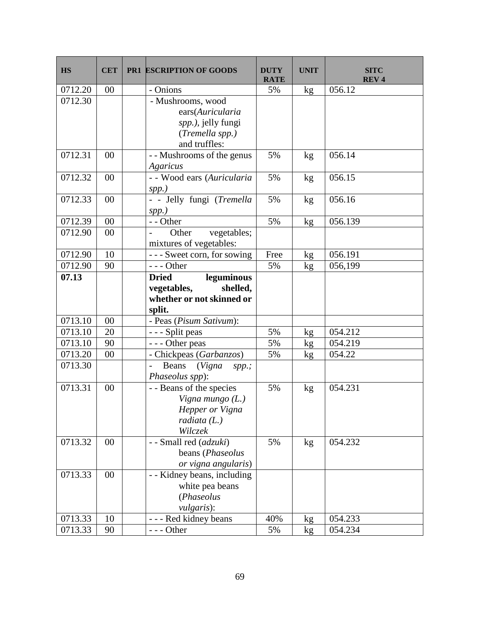| <b>HS</b> | <b>CET</b> | <b>PR1 ESCRIPTION OF GOODS</b>                 | <b>DUTY</b><br><b>RATE</b> | <b>UNIT</b>   | <b>SITC</b><br><b>REV4</b> |
|-----------|------------|------------------------------------------------|----------------------------|---------------|----------------------------|
| 0712.20   | 00         | - Onions                                       | 5%                         | kg            | 056.12                     |
| 0712.30   |            | - Mushrooms, wood                              |                            |               |                            |
|           |            | ears(Auricularia                               |                            |               |                            |
|           |            | spp.), jelly fungi                             |                            |               |                            |
|           |            | (Tremella spp.)<br>and truffles:               |                            |               |                            |
| 0712.31   | 00         | -- Mushrooms of the genus                      | 5%                         | kg            | 056.14                     |
|           |            | Agaricus                                       |                            |               |                            |
| 0712.32   | 00         | - - Wood ears (Auricularia                     | 5%                         | kg            | 056.15                     |
|           |            | $spp.$ )                                       |                            |               |                            |
| 0712.33   | 00         | - - Jelly fungi (Tremella                      | 5%                         | kg            | 056.16                     |
|           |            | $spp.$ )                                       |                            |               |                            |
| 0712.39   | 00         | - - Other                                      | 5%                         | kg            | 056.139                    |
| 0712.90   | $00\,$     | vegetables;<br>Other                           |                            |               |                            |
|           |            | mixtures of vegetables:                        |                            |               |                            |
| 0712.90   | 10         | --- Sweet corn, for sowing                     | Free                       | $\mathrm{kg}$ | 056.191                    |
| 0712.90   | 90         | $--$ Other                                     | 5%                         | kg            | 056,199                    |
| 07.13     |            | <b>Dried</b><br>leguminous                     |                            |               |                            |
|           |            | shelled,<br>vegetables,                        |                            |               |                            |
|           |            | whether or not skinned or<br>split.            |                            |               |                            |
| 0713.10   | 00         | - Peas (Pisum Sativum):                        |                            |               |                            |
| 0713.10   | 20         | - - - Split peas                               | 5%                         | kg            | 054.212                    |
| 0713.10   | 90         | --- Other peas                                 | 5%                         | kg            | 054.219                    |
| 0713.20   | $00\,$     | - Chickpeas (Garbanzos)                        | 5%                         | kg            | 054.22                     |
| 0713.30   |            | (Vigna spp.;<br>Beans<br>$\overline{a}$        |                            |               |                            |
|           |            | Phaseolus spp):                                |                            |               |                            |
| 0713.31   | 00         | - - Beans of the species                       | 5%                         | kg            | 054.231                    |
|           |            | Vigna mungo $(L)$                              |                            |               |                            |
|           |            | Hepper or Vigna                                |                            |               |                            |
|           |            | radiata (L.)                                   |                            |               |                            |
|           |            | Wilczek                                        |                            |               |                            |
| 0713.32   | 00         | - - Small red (adzuki)                         | 5%                         | kg            | 054.232                    |
|           |            | beans (Phaseolus                               |                            |               |                            |
| 0713.33   | 00         | or vigna angularis)                            |                            |               |                            |
|           |            | - - Kidney beans, including<br>white pea beans |                            |               |                            |
|           |            | (Phaseolus                                     |                            |               |                            |
|           |            | <i>vulgaris</i> ):                             |                            |               |                            |
| 0713.33   | 10         | - - - Red kidney beans                         | 40%                        | kg            | 054.233                    |
| 0713.33   | 90         | $--$ Other                                     | 5%                         | kg            | 054.234                    |